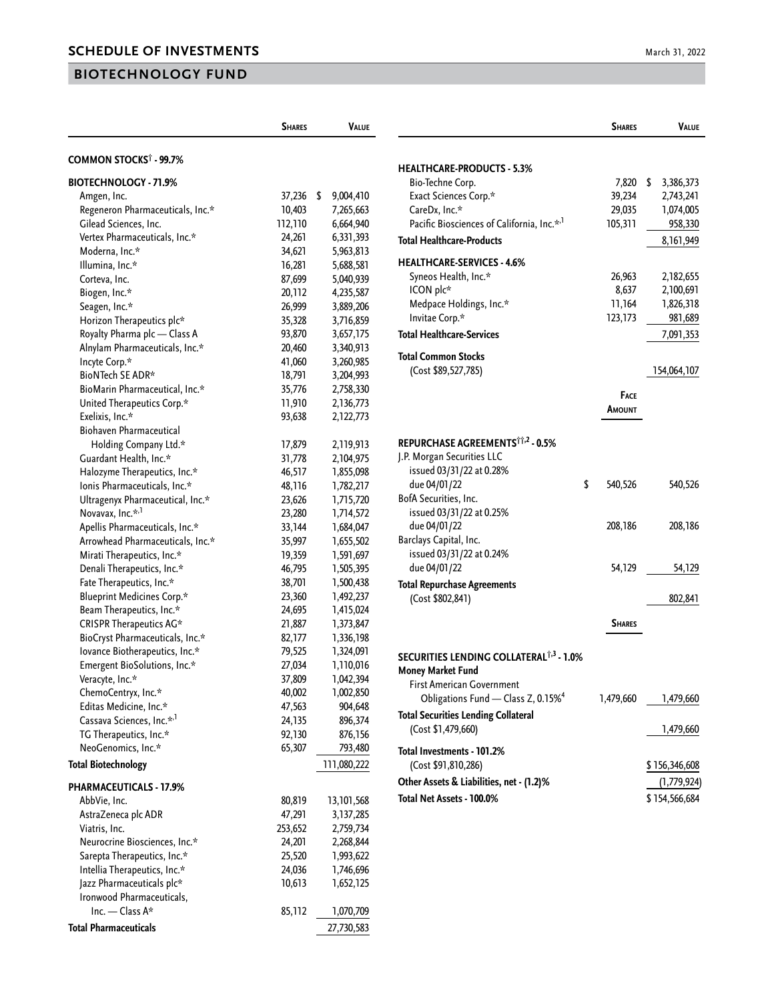## **BIOTECHNOLOGY FUND**

|                                                | <b>SHARES</b> | VALUE                  |
|------------------------------------------------|---------------|------------------------|
| COMMON STOCKS <sup>†</sup> - 99.7%             |               |                        |
| <b>BIOTECHNOLOGY - 71.9%</b>                   |               |                        |
| Amgen, Inc.                                    | 37,236        | \$<br>9,004,410        |
| Regeneron Pharmaceuticals, Inc.*               | 10,403        | 7,265,663              |
| Gilead Sciences, Inc.                          | 112,110       | 6,664,940              |
| Vertex Pharmaceuticals, Inc.*                  | 24,261        | 6,331,393              |
| Moderna, Inc.*                                 | 34,621        | 5,963,813              |
| Illumina, Inc.*                                | 16,281        | 5,688,581              |
| Corteva, Inc.                                  | 87,699        | 5,040,939              |
| Biogen, Inc.*                                  | 20,112        | 4,235,587              |
| Seagen, Inc.*                                  | 26,999        | 3,889,206              |
| Horizon Therapeutics plc*                      | 35,328        | 3,716,859              |
| Royalty Pharma plc - Class A                   | 93,870        | 3,657,175              |
| Alnylam Pharmaceuticals, Inc.*                 | 20,460        | 3,340,913              |
| Incyte Corp.*                                  | 41,060        | 3,260,985              |
| BioNTech SE ADR*                               | 18,791        | 3,204,993              |
| BioMarin Pharmaceutical, Inc.*                 | 35,776        |                        |
| United Therapeutics Corp.*                     | 11,910        | 2,758,330<br>2,136,773 |
| Exelixis, Inc.*                                | 93,638        | 2,122,773              |
| <b>Biohaven Pharmaceutical</b>                 |               |                        |
|                                                |               |                        |
| Holding Company Ltd.*                          | 17,879        | 2,119,913              |
| Guardant Health, Inc.*                         | 31,778        | 2,104,975              |
| Halozyme Therapeutics, Inc.*                   | 46,517        | 1,855,098              |
| Ionis Pharmaceuticals, Inc.*                   | 48,116        | 1,782,217              |
| Ultragenyx Pharmaceutical, Inc.*               | 23,626        | 1,715,720              |
| Novavax, Inc.* <sup>,1</sup>                   | 23,280        | 1,714,572              |
| Apellis Pharmaceuticals, Inc.*                 | 33,144        | 1,684,047              |
| Arrowhead Pharmaceuticals, Inc.*               | 35,997        | 1,655,502              |
| Mirati Therapeutics, Inc.*                     | 19,359        | 1,591,697              |
| Denali Therapeutics, Inc.*                     | 46,795        | 1,505,395              |
| Fate Therapeutics, Inc.*                       | 38,701        | 1,500,438              |
| <b>Blueprint Medicines Corp.*</b>              | 23,360        | 1,492,237              |
| Beam Therapeutics, Inc.*                       | 24,695        | 1,415,024              |
| CRISPR Therapeutics AG*                        | 21,887        | 1,373,847              |
| BioCryst Pharmaceuticals, Inc.*                | 82,177        | 1,336,198              |
| lovance Biotherapeutics, Inc.*                 | 79,525        | 1,324,091              |
| Emergent BioSolutions, Inc.*                   | 27,034        | 1,110,016              |
| Veracyte, Inc.*                                | 37,809        | 1,042,394              |
| ChemoCentryx, Inc.*                            | 40,002        | 1,002,850              |
| Editas Medicine, Inc.*                         | 47,563        | 904,648                |
| Cassava Sciences, Inc.* <sup>,1</sup>          | 24,135        | 896,374                |
| TG Therapeutics, Inc.*                         | 92,130        | 876,156                |
| NeoGenomics, Inc.*                             | 65,307        | 793,480                |
| <b>Total Biotechnology</b>                     |               | 111,080,222            |
| <b>PHARMACEUTICALS - 17.9%</b>                 |               |                        |
| AbbVie, Inc.                                   | 80,819        | 13,101,568             |
| AstraZeneca plc ADR                            | 47,291        | 3,137,285              |
| Viatris, Inc.                                  | 253,652       | 2,759,734              |
| Neurocrine Biosciences, Inc.*                  | 24,201        | 2,268,844              |
| Sarepta Therapeutics, Inc.*                    | 25,520        | 1,993,622              |
| Intellia Therapeutics, Inc.*                   | 24,036        | 1,746,696              |
| Jazz Pharmaceuticals plc*                      | 10,613        | 1,652,125              |
|                                                |               |                        |
| Ironwood Pharmaceuticals,<br>Inc. $-$ Class A* |               |                        |
|                                                | 85,112        | 1,070,709              |
| <b>Total Pharmaceuticals</b>                   |               | 27,730,583             |

|                                                                                                                                                          | <b>SHARES</b>                        | <b>VALUE</b>                                         |
|----------------------------------------------------------------------------------------------------------------------------------------------------------|--------------------------------------|------------------------------------------------------|
| <b>HEALTHCARE-PRODUCTS - 5.3%</b><br>Bio-Techne Corp.<br>Exact Sciences Corp.*<br>CareDx, Inc.*<br>Pacific Biosciences of California, Inc.* <sup>1</sup> | 7,820<br>39,234<br>29,035<br>105,311 | \$<br>3,386,373<br>2,743,241<br>1,074,005<br>958,330 |
| <b>Total Healthcare-Products</b>                                                                                                                         |                                      | 8, 161, 949                                          |
| <b>HEALTHCARE-SERVICES - 4.6%</b><br>Syneos Health, Inc.*<br>ICON plc*<br>Medpace Holdings, Inc.*<br>Invitae Corp.*                                      | 26,963<br>8,637<br>11,164<br>123,173 | 2,182,655<br>2,100,691<br>1,826,318<br>981,689       |
| <b>Total Healthcare-Services</b>                                                                                                                         |                                      | 7,091,353                                            |
| Total Common Stocks<br>(Cost \$89,527,785)                                                                                                               | <b>FACE</b><br>Amount                | 154,064,107                                          |
| REPURCHASE AGREEMENTS <sup>TT,2</sup> - 0.5%                                                                                                             |                                      |                                                      |
| J.P. Morgan Securities LLC<br>issued 03/31/22 at 0.28%<br>due 04/01/22<br>BofA Securities, Inc.<br>issued 03/31/22 at 0.25%                              | \$<br>540,526                        | 540,526                                              |
| due 04/01/22<br>Barclays Capital, Inc.<br>issued 03/31/22 at 0.24%<br>due 04/01/22                                                                       | 208,186<br>54,129                    | 208,186<br>54,129                                    |
| <b>Total Repurchase Agreements</b>                                                                                                                       |                                      |                                                      |
| (Cost \$802,841)                                                                                                                                         |                                      | 802,841                                              |
|                                                                                                                                                          | <b>SHARES</b>                        |                                                      |
| SECURITIES LENDING COLLATERAL <sup>†,3</sup> - 1.0%<br><b>Money Market Fund</b><br>First American Government                                             |                                      |                                                      |
| Obligations Fund - Class Z, 0.15% <sup>4</sup><br><b>Total Securities Lending Collateral</b><br>(Cost \$1,479,660)                                       |                                      | 1,479,660 1,479,660<br>1,479,660                     |
| Total Investments - 101.2%<br>(Cost \$91,810,286)<br>Other Assets & Liabilities, net - (1.2)%                                                            |                                      | \$156,346,608<br>(1,779,924)                         |
| Total Net Assets - 100.0%                                                                                                                                |                                      | \$154,566,684                                        |
|                                                                                                                                                          |                                      |                                                      |